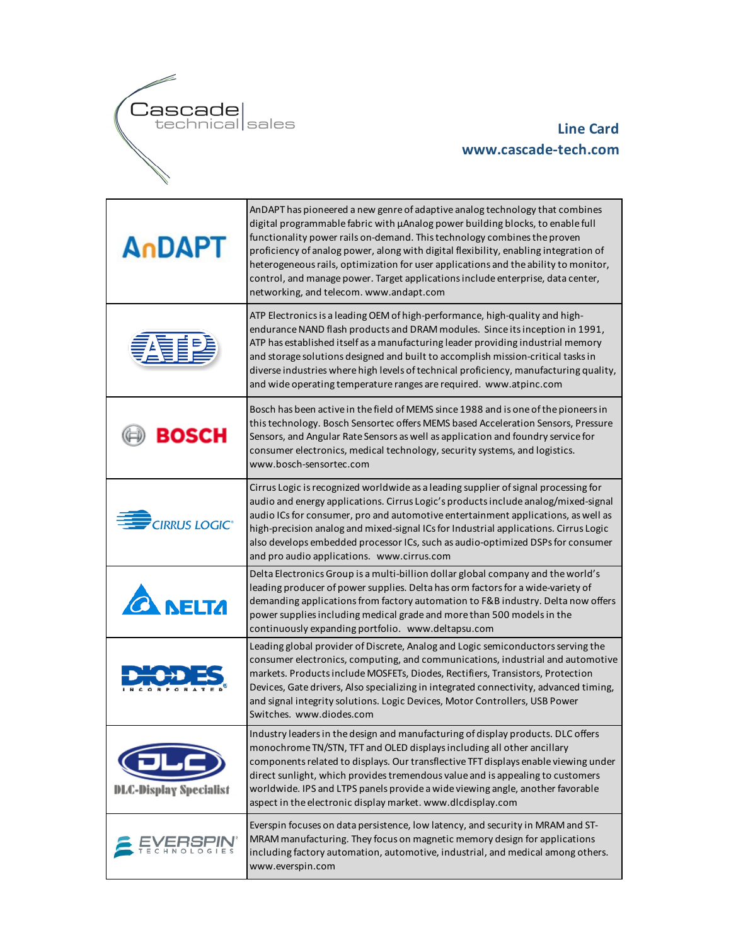

## **Line Card www.cascade-tech.com**

| AnDAPT                          | AnDAPT has pioneered a new genre of adaptive analog technology that combines<br>digital programmable fabric with µAnalog power building blocks, to enable full<br>functionality power rails on-demand. This technology combines the proven<br>proficiency of analog power, along with digital flexibility, enabling integration of<br>heterogeneous rails, optimization for user applications and the ability to monitor,<br>control, and manage power. Target applications include enterprise, data center,<br>networking, and telecom. www.andapt.com |
|---------------------------------|---------------------------------------------------------------------------------------------------------------------------------------------------------------------------------------------------------------------------------------------------------------------------------------------------------------------------------------------------------------------------------------------------------------------------------------------------------------------------------------------------------------------------------------------------------|
|                                 | ATP Electronics is a leading OEM of high-performance, high-quality and high-<br>endurance NAND flash products and DRAM modules. Since its inception in 1991,<br>ATP has established itself as a manufacturing leader providing industrial memory<br>and storage solutions designed and built to accomplish mission-critical tasks in<br>diverse industries where high levels of technical proficiency, manufacturing quality,<br>and wide operating temperature ranges are required. www.atpinc.com                                                     |
| BOSCH                           | Bosch has been active in the field of MEMS since 1988 and is one of the pioneers in<br>this technology. Bosch Sensortec offers MEMS based Acceleration Sensors, Pressure<br>Sensors, and Angular Rate Sensors as well as application and foundry service for<br>consumer electronics, medical technology, security systems, and logistics.<br>www.bosch-sensortec.com                                                                                                                                                                                   |
| <b>CIRRUS LOGIC<sup>®</sup></b> | Cirrus Logic is recognized worldwide as a leading supplier of signal processing for<br>audio and energy applications. Cirrus Logic's products include analog/mixed-signal<br>audio ICs for consumer, pro and automotive entertainment applications, as well as<br>high-precision analog and mixed-signal ICs for Industrial applications. Cirrus Logic<br>also develops embedded processor ICs, such as audio-optimized DSPs for consumer<br>and pro audio applications. www.cirrus.com                                                                 |
| <b>NELTA</b>                    | Delta Electronics Group is a multi-billion dollar global company and the world's<br>leading producer of power supplies. Delta has orm factors for a wide-variety of<br>demanding applications from factory automation to F&B industry. Delta now offers<br>power supplies including medical grade and more than 500 models in the<br>continuously expanding portfolio. www.deltapsu.com                                                                                                                                                                 |
|                                 | Leading global provider of Discrete, Analog and Logic semiconductors serving the<br>consumer electronics, computing, and communications, industrial and automotive<br>markets. Products include MOSFETs, Diodes, Rectifiers, Transistors, Protection<br>Devices, Gate drivers, Also specializing in integrated connectivity, advanced timing,<br>and signal integrity solutions. Logic Devices, Motor Controllers, USB Power<br>Switches. www.diodes.com                                                                                                |
| <b>DLC-Display Specialist</b>   | Industry leaders in the design and manufacturing of display products. DLC offers<br>monochrome TN/STN, TFT and OLED displays including all other ancillary<br>components related to displays. Our transflective TFT displays enable viewing under<br>direct sunlight, which provides tremendous value and is appealing to customers<br>worldwide. IPS and LTPS panels provide a wide viewing angle, another favorable<br>aspect in the electronic display market. www.dlcdisplay.com                                                                    |
|                                 | Everspin focuses on data persistence, low latency, and security in MRAM and ST-<br>MRAM manufacturing. They focus on magnetic memory design for applications<br>including factory automation, automotive, industrial, and medical among others.<br>www.everspin.com                                                                                                                                                                                                                                                                                     |